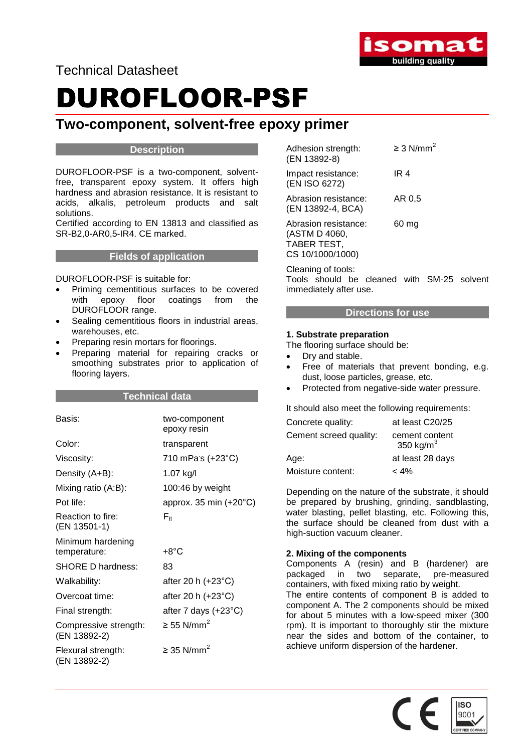

Technical Datasheet

# DUROFLOOR-PSF

### **Two-component, solvent-free epoxy primer**

### **Description**

DUROFLOOR-PSF is a two-component, solventfree, transparent epoxy system. It offers high hardness and abrasion resistance. It is resistant to acids, alkalis, petroleum products and salt solutions.

Certified according to EN 13813 and classified as SR-B2,0-AR0,5-IR4. CE marked.

#### **Fields of application**

#### DUROFLOOR-PSF is suitable for:

- Priming cementitious surfaces to be covered with epoxy floor coatings from the DUROFLOOR range.
- Sealing cementitious floors in industrial areas, warehouses, etc.
- Preparing resin mortars for floorings.
- Preparing material for repairing cracks or smoothing substrates prior to application of flooring layers.

#### **Technical data**

| Basis:                                | two-component<br>epoxy resin    |
|---------------------------------------|---------------------------------|
| Color:                                | transparent                     |
| Viscosity:                            | 710 mPas (+23°C)                |
| Density (A+B):                        | 1.07 kg/l                       |
| Mixing ratio (A:B):                   | 100:46 by weight                |
| Pot life:                             | approx. 35 min $(+20^{\circ}C)$ |
| Reaction to fire:<br>(EN 13501-1)     | $F_{\rm fl}$                    |
| Minimum hardening<br>temperature:     | $+8^{\circ}$ C                  |
| <b>SHORE D hardness:</b>              | 83                              |
| Walkability:                          | after 20 h (+23°C)              |
| Overcoat time:                        | after 20 h $(+23^{\circ}C)$     |
| Final strength:                       | after 7 days $(+23^{\circ}C)$   |
| Compressive strength:<br>(EN 13892-2) | $\geq$ 55 N/mm <sup>2</sup>     |
| Flexural strength:<br>(EN 13892-2)    | $\geq$ 35 N/mm <sup>2</sup>     |

| Adhesion strength:<br>(EN 13892-8)                                       | $\geq$ 3 N/mm <sup>2</sup> |
|--------------------------------------------------------------------------|----------------------------|
| Impact resistance:<br>(EN ISO 6272)                                      | IR 4                       |
| Abrasion resistance:<br>(EN 13892-4, BCA)                                | AR 0.5                     |
| Abrasion resistance:<br>(ASTM D 4060,<br>TABER TEST,<br>CS 10/1000/1000) | 60 ma                      |

Cleaning of tools: Tools should be cleaned with SM-25 solvent immediately after use.

### **Directions for use**

#### **1. Substrate preparation**

The flooring surface should be:

- Dry and stable.
- Free of materials that prevent bonding, e.g. dust, loose particles, grease, etc.
- Protected from negative-side water pressure.

It should also meet the following requirements:

| Concrete quality:      | at least C20/25                |
|------------------------|--------------------------------|
| Cement screed quality: | cement content<br>350 kg/ $m3$ |
| Age:                   | at least 28 days               |
| Moisture content:      | $< 4\%$                        |

Depending on the nature of the substrate, it should be prepared by brushing, grinding, sandblasting, water blasting, pellet blasting, etc. Following this, the surface should be cleaned from dust with a high-suction vacuum cleaner.

#### **2. Mixing of the components**

Components A (resin) and B (hardener) are packaged in two separate, pre-measured containers, with fixed mixing ratio by weight.

The entire contents of component B is added to component A. The 2 components should be mixed for about 5 minutes with a low-speed mixer (300 rpm). It is important to thoroughly stir the mixture near the sides and bottom of the container, to achieve uniform dispersion of the hardener.

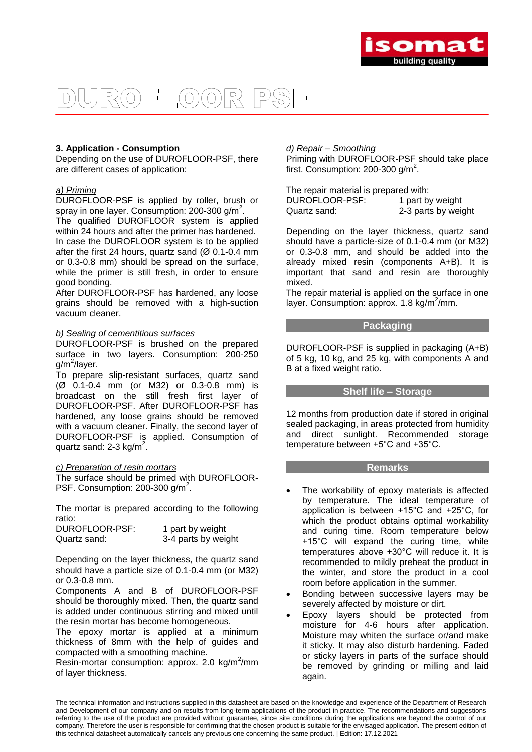

## ROFLOOR-PSF

#### **3. Application - Consumption**

Depending on the use of DUROFLOOR-PSF, there are different cases of application:

#### *a) Priming*

DUROFLOOR-PSF is applied by roller, brush or spray in one layer. Consumption: 200-300 g/m<sup>2</sup>.

The qualified DUROFLOOR system is applied within 24 hours and after the primer has hardened. In case the DUROFLOOR system is to be applied after the first 24 hours, quartz sand  $(Ø 0.1-0.4$  mm or 0.3-0.8 mm) should be spread on the surface, while the primer is still fresh, in order to ensure good bonding.

After DUROFLOOR-PSF has hardened, any loose grains should be removed with a high-suction vacuum cleaner.

#### *b) Sealing of cementitious surfaces*

DUROFLOOR-PSF is brushed on the prepared surface in two layers. Consumption: 200-250 g/m<sup>2</sup>/layer.

To prepare slip-resistant surfaces, quartz sand (Ø 0.1-0.4 mm (or M32) or 0.3-0.8 mm) is broadcast on the still fresh first layer of DUROFLOOR-PSF. After DUROFLOOR-PSF has hardened, any loose grains should be removed with a vacuum cleaner. Finally, the second layer of DUROFLOOR-PSF is applied. Consumption of quartz sand: 2-3 kg/m<sup>2</sup>.

#### *c) Preparation of resin mortars*

The surface should be primed with DUROFLOOR-PSF. Consumption: 200-300  $g/m^2$ .

The mortar is prepared according to the following ratio:

| DUROFLOOR-PSF: | 1 part by weight    |
|----------------|---------------------|
| Quartz sand:   | 3-4 parts by weight |

Depending on the layer thickness, the quartz sand should have a particle size of 0.1-0.4 mm (or M32) or 0.3-0.8 mm.

Components A and B of DUROFLOOR-PSF should be thoroughly mixed. Then, the quartz sand is added under continuous stirring and mixed until the resin mortar has become homogeneous.

The epoxy mortar is applied at a minimum thickness of 8mm with the help of guides and compacted with a smoothing machine.

Resin-mortar consumption: approx. 2.0 kg/m<sup>2</sup>/mm of layer thickness.

#### *d) Repair – Smoothing*

Priming with DUROFLOOR-PSF should take place first. Consumption: 200-300  $g/m^2$ .

The repair material is prepared with: DUROFLOOR-PSF: 1 part by weight Quartz sand: 2-3 parts by weight

Depending on the layer thickness, quartz sand should have a particle-size of 0.1-0.4 mm (or M32) or 0.3-0.8 mm, and should be added into the already mixed resin (components A+B). It is important that sand and resin are thoroughly mixed.

The repair material is applied on the surface in one layer. Consumption: approx. 1.8 kg/m<sup>2</sup>/mm.

#### **Packaging**

DUROFLOOR-PSF is supplied in packaging (A+B) of 5 kg, 10 kg, and 25 kg, with components A and B at a fixed weight ratio.

#### **Shelf life – Storage**

12 months from production date if stored in original sealed packaging, in areas protected from humidity and direct sunlight. Recommended storage temperature between +5°C and +35°C.

#### **Remarks**

- The workability of epoxy materials is affected by temperature. The ideal temperature of application is between +15°C and +25°C, for which the product obtains optimal workability and curing time. Room temperature below +15°C will expand the curing time, while temperatures above +30°C will reduce it. It is recommended to mildly preheat the product in the winter, and store the product in a cool room before application in the summer.
- Bonding between successive layers may be severely affected by moisture or dirt.
- Epoxy layers should be protected from moisture for 4-6 hours after application. Moisture may whiten the surface or/and make it sticky. It may also disturb hardening. Faded or sticky layers in parts of the surface should be removed by grinding or milling and laid again.

The technical information and instructions supplied in this datasheet are based on the knowledge and experience of the Department of Research and Development of our company and on results from long-term applications of the product in practice. The recommendations and suggestions referring to the use of the product are provided without guarantee, since site conditions during the applications are beyond the control of our company. Therefore the user is responsible for confirming that the chosen product is suitable for the envisaged application. The present edition of this technical datasheet automatically cancels any previous one concerning the same product. | Edition: 17.12.2021